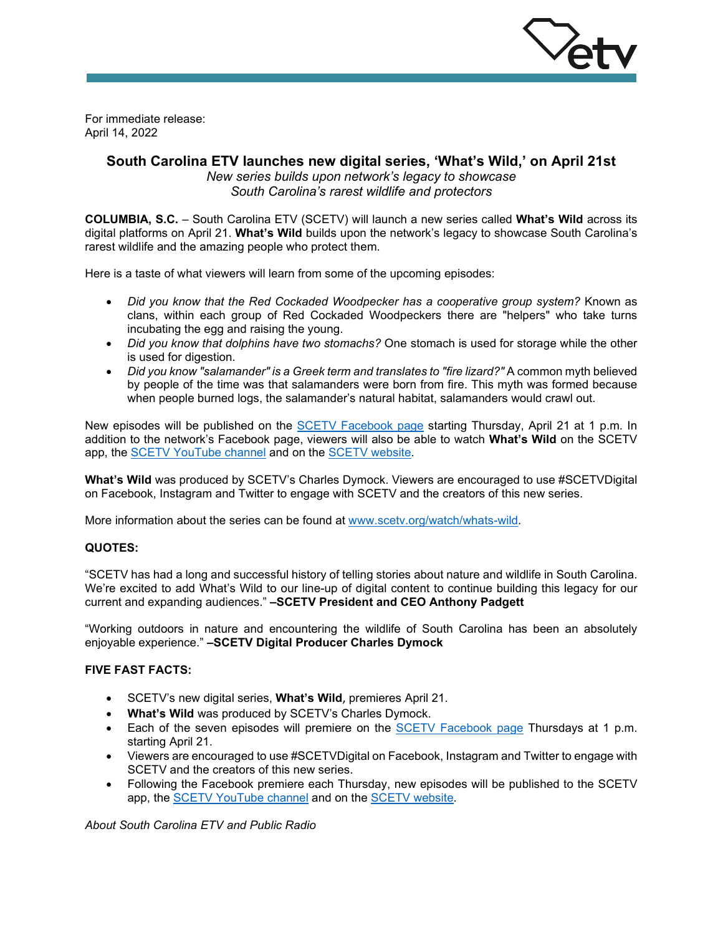

For immediate release: April 14, 2022

## **South Carolina ETV launches new digital series, 'What's Wild,' on April 21st**

*New series builds upon network's legacy to showcase South Carolina's rarest wildlife and protectors*

**COLUMBIA, S.C.** – South Carolina ETV (SCETV) will launch a new series called **What's Wild** across its digital platforms on April 21. **What's Wild** builds upon the network's legacy to showcase South Carolina's rarest wildlife and the amazing people who protect them.

Here is a taste of what viewers will learn from some of the upcoming episodes:

- *Did you know that the Red Cockaded Woodpecker has a cooperative group system?* Known as clans, within each group of Red Cockaded Woodpeckers there are "helpers" who take turns incubating the egg and raising the young.
- *Did you know that dolphins have two stomachs?* One stomach is used for storage while the other is used for digestion.
- *Did you know "salamander" is a Greek term and translates to "fire lizard?"* A common myth believed by people of the time was that salamanders were born from fire. This myth was formed because when people burned logs, the salamander's natural habitat, salamanders would crawl out.

New episodes will be published on the [SCETV Facebook page](https://www.facebook.com/SouthCarolinaETV/) starting Thursday, April 21 at 1 p.m. In addition to the network's Facebook page, viewers will also be able to watch **What's Wild** on the SCETV app, the [SCETV YouTube channel](https://www.youtube.com/user/southcarolinaetv) and on the [SCETV website.](https://www.scetv.org/watch/whats-wild) 

**What's Wild** was produced by SCETV's Charles Dymock. Viewers are encouraged to use #SCETVDigital on Facebook, Instagram and Twitter to engage with SCETV and the creators of this new series.

More information about the series can be found at [www.scetv.org/watch/whats-wild.](http://www.scetv.org/watch/whats-wild)

## **QUOTES:**

"SCETV has had a long and successful history of telling stories about nature and wildlife in South Carolina. We're excited to add What's Wild to our line-up of digital content to continue building this legacy for our current and expanding audiences." **–SCETV President and CEO Anthony Padgett**

"Working outdoors in nature and encountering the wildlife of South Carolina has been an absolutely enjoyable experience." **–SCETV Digital Producer Charles Dymock**

## **FIVE FAST FACTS:**

- SCETV's new digital series, **What's Wild**, premieres April 21.
- **What's Wild** was produced by SCETV's Charles Dymock.
- Each of the seven episodes will premiere on the [SCETV Facebook page](https://www.facebook.com/SouthCarolinaETV/) Thursdays at 1 p.m. starting April 21.
- Viewers are encouraged to use #SCETVDigital on Facebook, Instagram and Twitter to engage with SCETV and the creators of this new series.
- Following the Facebook premiere each Thursday, new episodes will be published to the SCETV app, the [SCETV YouTube channel](https://www.youtube.com/user/southcarolinaetv) and on the [SCETV website.](https://www.scetv.org/watch/whats-wild)

*About South Carolina ETV and Public Radio*